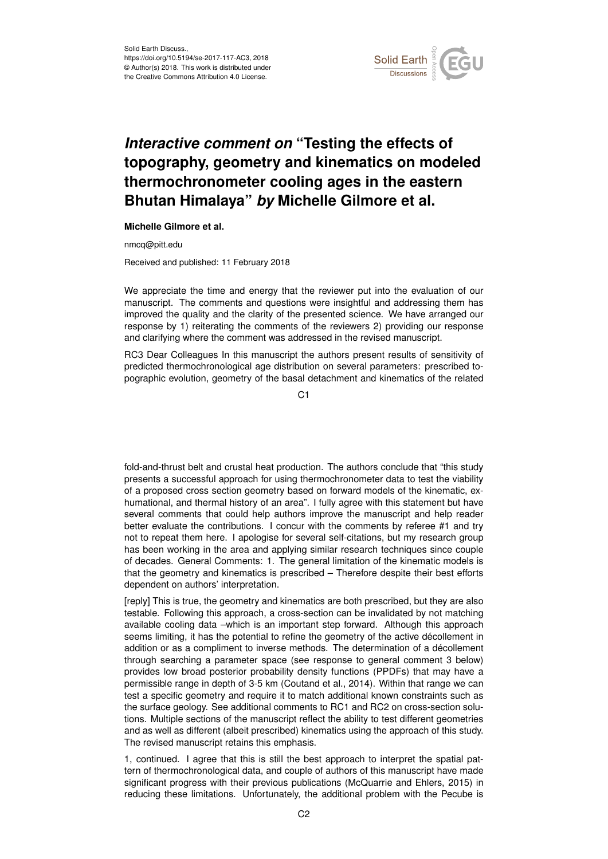

## *Interactive comment on* **"Testing the effects of topography, geometry and kinematics on modeled thermochronometer cooling ages in the eastern Bhutan Himalaya"** *by* **Michelle Gilmore et al.**

## **Michelle Gilmore et al.**

nmcq@pitt.edu

Received and published: 11 February 2018

We appreciate the time and energy that the reviewer put into the evaluation of our manuscript. The comments and questions were insightful and addressing them has improved the quality and the clarity of the presented science. We have arranged our response by 1) reiterating the comments of the reviewers 2) providing our response and clarifying where the comment was addressed in the revised manuscript.

RC3 Dear Colleagues In this manuscript the authors present results of sensitivity of predicted thermochronological age distribution on several parameters: prescribed topographic evolution, geometry of the basal detachment and kinematics of the related

C<sub>1</sub>

fold-and-thrust belt and crustal heat production. The authors conclude that "this study presents a successful approach for using thermochronometer data to test the viability of a proposed cross section geometry based on forward models of the kinematic, exhumational, and thermal history of an area". I fully agree with this statement but have several comments that could help authors improve the manuscript and help reader better evaluate the contributions. I concur with the comments by referee #1 and try not to repeat them here. I apologise for several self-citations, but my research group has been working in the area and applying similar research techniques since couple of decades. General Comments: 1. The general limitation of the kinematic models is that the geometry and kinematics is prescribed – Therefore despite their best efforts dependent on authors' interpretation.

[reply] This is true, the geometry and kinematics are both prescribed, but they are also testable. Following this approach, a cross-section can be invalidated by not matching available cooling data –which is an important step forward. Although this approach seems limiting, it has the potential to refine the geometry of the active décollement in addition or as a compliment to inverse methods. The determination of a décollement through searching a parameter space (see response to general comment 3 below) provides low broad posterior probability density functions (PPDFs) that may have a permissible range in depth of 3-5 km (Coutand et al., 2014). Within that range we can test a specific geometry and require it to match additional known constraints such as the surface geology. See additional comments to RC1 and RC2 on cross-section solutions. Multiple sections of the manuscript reflect the ability to test different geometries and as well as different (albeit prescribed) kinematics using the approach of this study. The revised manuscript retains this emphasis.

1, continued. I agree that this is still the best approach to interpret the spatial pattern of thermochronological data, and couple of authors of this manuscript have made significant progress with their previous publications (McQuarrie and Ehlers, 2015) in reducing these limitations. Unfortunately, the additional problem with the Pecube is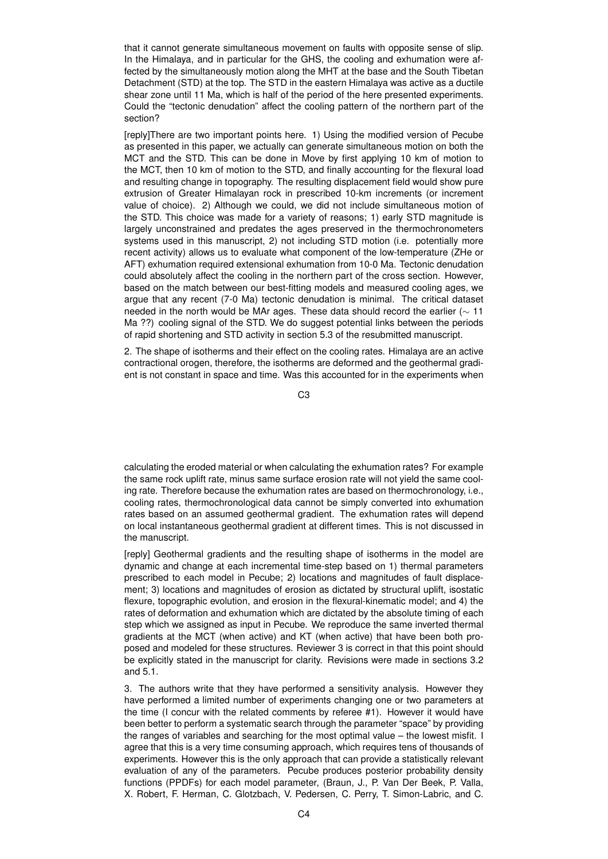that it cannot generate simultaneous movement on faults with opposite sense of slip. In the Himalaya, and in particular for the GHS, the cooling and exhumation were affected by the simultaneously motion along the MHT at the base and the South Tibetan Detachment (STD) at the top. The STD in the eastern Himalaya was active as a ductile shear zone until 11 Ma, which is half of the period of the here presented experiments. Could the "tectonic denudation" affect the cooling pattern of the northern part of the section?

[reply]There are two important points here. 1) Using the modified version of Pecube as presented in this paper, we actually can generate simultaneous motion on both the MCT and the STD. This can be done in Move by first applying 10 km of motion to the MCT, then 10 km of motion to the STD, and finally accounting for the flexural load and resulting change in topography. The resulting displacement field would show pure extrusion of Greater Himalayan rock in prescribed 10-km increments (or increment value of choice). 2) Although we could, we did not include simultaneous motion of the STD. This choice was made for a variety of reasons; 1) early STD magnitude is largely unconstrained and predates the ages preserved in the thermochronometers systems used in this manuscript, 2) not including STD motion (i.e. potentially more recent activity) allows us to evaluate what component of the low-temperature (ZHe or AFT) exhumation required extensional exhumation from 10-0 Ma. Tectonic denudation could absolutely affect the cooling in the northern part of the cross section. However, based on the match between our best-fitting models and measured cooling ages, we argue that any recent (7-0 Ma) tectonic denudation is minimal. The critical dataset needed in the north would be MAr ages. These data should record the earlier ( $\sim$  11 Ma ??) cooling signal of the STD. We do suggest potential links between the periods of rapid shortening and STD activity in section 5.3 of the resubmitted manuscript.

2. The shape of isotherms and their effect on the cooling rates. Himalaya are an active contractional orogen, therefore, the isotherms are deformed and the geothermal gradient is not constant in space and time. Was this accounted for in the experiments when

C3

calculating the eroded material or when calculating the exhumation rates? For example the same rock uplift rate, minus same surface erosion rate will not yield the same cooling rate. Therefore because the exhumation rates are based on thermochronology, i.e., cooling rates, thermochronological data cannot be simply converted into exhumation rates based on an assumed geothermal gradient. The exhumation rates will depend on local instantaneous geothermal gradient at different times. This is not discussed in the manuscript.

[reply] Geothermal gradients and the resulting shape of isotherms in the model are dynamic and change at each incremental time-step based on 1) thermal parameters prescribed to each model in Pecube; 2) locations and magnitudes of fault displacement; 3) locations and magnitudes of erosion as dictated by structural uplift, isostatic flexure, topographic evolution, and erosion in the flexural-kinematic model; and 4) the rates of deformation and exhumation which are dictated by the absolute timing of each step which we assigned as input in Pecube. We reproduce the same inverted thermal gradients at the MCT (when active) and KT (when active) that have been both proposed and modeled for these structures. Reviewer 3 is correct in that this point should be explicitly stated in the manuscript for clarity. Revisions were made in sections 3.2 and 5.1.

3. The authors write that they have performed a sensitivity analysis. However they have performed a limited number of experiments changing one or two parameters at the time (I concur with the related comments by referee #1). However it would have been better to perform a systematic search through the parameter "space" by providing the ranges of variables and searching for the most optimal value – the lowest misfit. I agree that this is a very time consuming approach, which requires tens of thousands of experiments. However this is the only approach that can provide a statistically relevant evaluation of any of the parameters. Pecube produces posterior probability density functions (PPDFs) for each model parameter, (Braun, J., P. Van Der Beek, P. Valla, X. Robert, F. Herman, C. Glotzbach, V. Pedersen, C. Perry, T. Simon-Labric, and C.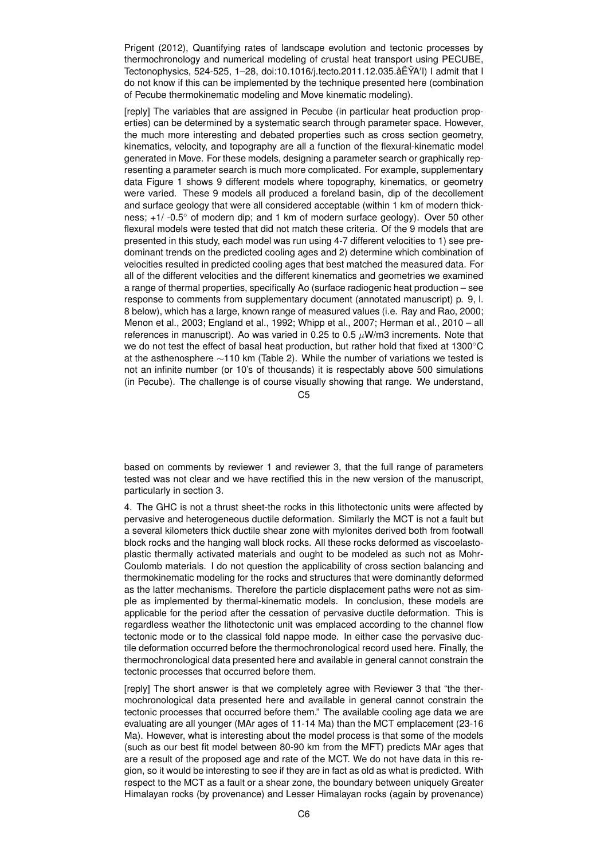Prigent (2012), Quantifying rates of landscape evolution and tectonic processes by thermochronology and numerical modeling of crustal heat transport using PECUBE, Tectonophysics, 524-525, 1–28, doi:10.1016/j.tecto.2011.12.035.âEYA'l) I admit that I do not know if this can be implemented by the technique presented here (combination of Pecube thermokinematic modeling and Move kinematic modeling).

[reply] The variables that are assigned in Pecube (in particular heat production properties) can be determined by a systematic search through parameter space. However, the much more interesting and debated properties such as cross section geometry, kinematics, velocity, and topography are all a function of the flexural-kinematic model generated in Move. For these models, designing a parameter search or graphically representing a parameter search is much more complicated. For example, supplementary data Figure 1 shows 9 different models where topography, kinematics, or geometry were varied. These 9 models all produced a foreland basin, dip of the decollement and surface geology that were all considered acceptable (within 1 km of modern thickness; +1/ -0.5◦ of modern dip; and 1 km of modern surface geology). Over 50 other flexural models were tested that did not match these criteria. Of the 9 models that are presented in this study, each model was run using 4-7 different velocities to 1) see predominant trends on the predicted cooling ages and 2) determine which combination of velocities resulted in predicted cooling ages that best matched the measured data. For all of the different velocities and the different kinematics and geometries we examined a range of thermal properties, specifically Ao (surface radiogenic heat production – see response to comments from supplementary document (annotated manuscript) p. 9, l. 8 below), which has a large, known range of measured values (i.e. Ray and Rao, 2000; Menon et al., 2003; England et al., 1992; Whipp et al., 2007; Herman et al., 2010 – all references in manuscript). Ao was varied in 0.25 to 0.5  $\mu$ W/m3 increments. Note that we do not test the effect of basal heat production, but rather hold that fixed at 1300◦C at the asthenosphere ∼110 km (Table 2). While the number of variations we tested is not an infinite number (or 10's of thousands) it is respectably above 500 simulations (in Pecube). The challenge is of course visually showing that range. We understand,

 $C<sub>5</sub>$ 

based on comments by reviewer 1 and reviewer 3, that the full range of parameters tested was not clear and we have rectified this in the new version of the manuscript, particularly in section 3.

4. The GHC is not a thrust sheet-the rocks in this lithotectonic units were affected by pervasive and heterogeneous ductile deformation. Similarly the MCT is not a fault but a several kilometers thick ductile shear zone with mylonites derived both from footwall block rocks and the hanging wall block rocks. All these rocks deformed as viscoelastoplastic thermally activated materials and ought to be modeled as such not as Mohr-Coulomb materials. I do not question the applicability of cross section balancing and thermokinematic modeling for the rocks and structures that were dominantly deformed as the latter mechanisms. Therefore the particle displacement paths were not as simple as implemented by thermal-kinematic models. In conclusion, these models are applicable for the period after the cessation of pervasive ductile deformation. This is regardless weather the lithotectonic unit was emplaced according to the channel flow tectonic mode or to the classical fold nappe mode. In either case the pervasive ductile deformation occurred before the thermochronological record used here. Finally, the thermochronological data presented here and available in general cannot constrain the tectonic processes that occurred before them.

[reply] The short answer is that we completely agree with Reviewer 3 that "the thermochronological data presented here and available in general cannot constrain the tectonic processes that occurred before them." The available cooling age data we are evaluating are all younger (MAr ages of 11-14 Ma) than the MCT emplacement (23-16 Ma). However, what is interesting about the model process is that some of the models (such as our best fit model between 80-90 km from the MFT) predicts MAr ages that are a result of the proposed age and rate of the MCT. We do not have data in this region, so it would be interesting to see if they are in fact as old as what is predicted. With respect to the MCT as a fault or a shear zone, the boundary between uniquely Greater Himalayan rocks (by provenance) and Lesser Himalayan rocks (again by provenance)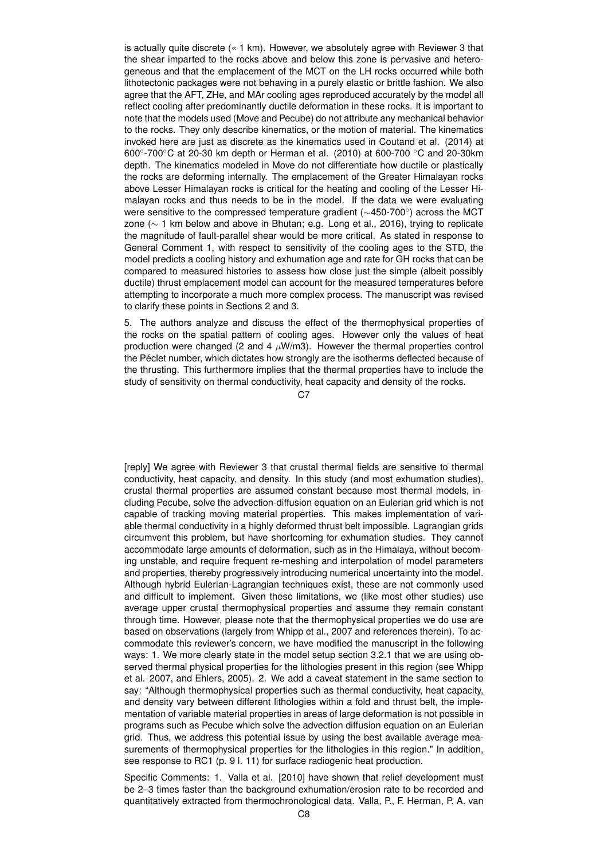is actually quite discrete (« 1 km). However, we absolutely agree with Reviewer 3 that the shear imparted to the rocks above and below this zone is pervasive and heterogeneous and that the emplacement of the MCT on the LH rocks occurred while both lithotectonic packages were not behaving in a purely elastic or brittle fashion. We also agree that the AFT, ZHe, and MAr cooling ages reproduced accurately by the model all reflect cooling after predominantly ductile deformation in these rocks. It is important to note that the models used (Move and Pecube) do not attribute any mechanical behavior to the rocks. They only describe kinematics, or the motion of material. The kinematics invoked here are just as discrete as the kinematics used in Coutand et al. (2014) at 600°-700°C at 20-30 km depth or Herman et al. (2010) at 600-700 °C and 20-30km depth. The kinematics modeled in Move do not differentiate how ductile or plastically the rocks are deforming internally. The emplacement of the Greater Himalayan rocks above Lesser Himalayan rocks is critical for the heating and cooling of the Lesser Himalayan rocks and thus needs to be in the model. If the data we were evaluating were sensitive to the compressed temperature gradient (∼450-700◦ ) across the MCT zone (∼ 1 km below and above in Bhutan; e.g. Long et al., 2016), trying to replicate the magnitude of fault-parallel shear would be more critical. As stated in response to General Comment 1, with respect to sensitivity of the cooling ages to the STD, the model predicts a cooling history and exhumation age and rate for GH rocks that can be compared to measured histories to assess how close just the simple (albeit possibly ductile) thrust emplacement model can account for the measured temperatures before attempting to incorporate a much more complex process. The manuscript was revised to clarify these points in Sections 2 and 3.

5. The authors analyze and discuss the effect of the thermophysical properties of the rocks on the spatial pattern of cooling ages. However only the values of heat production were changed (2 and 4  $\mu$ W/m3). However the thermal properties control the Péclet number, which dictates how strongly are the isotherms deflected because of the thrusting. This furthermore implies that the thermal properties have to include the study of sensitivity on thermal conductivity, heat capacity and density of the rocks.

 $C<sub>2</sub>$ 

[reply] We agree with Reviewer 3 that crustal thermal fields are sensitive to thermal conductivity, heat capacity, and density. In this study (and most exhumation studies), crustal thermal properties are assumed constant because most thermal models, including Pecube, solve the advection-diffusion equation on an Eulerian grid which is not capable of tracking moving material properties. This makes implementation of variable thermal conductivity in a highly deformed thrust belt impossible. Lagrangian grids circumvent this problem, but have shortcoming for exhumation studies. They cannot accommodate large amounts of deformation, such as in the Himalaya, without becoming unstable, and require frequent re-meshing and interpolation of model parameters and properties, thereby progressively introducing numerical uncertainty into the model. Although hybrid Eulerian-Lagrangian techniques exist, these are not commonly used and difficult to implement. Given these limitations, we (like most other studies) use average upper crustal thermophysical properties and assume they remain constant through time. However, please note that the thermophysical properties we do use are based on observations (largely from Whipp et al., 2007 and references therein). To accommodate this reviewer's concern, we have modified the manuscript in the following ways: 1. We more clearly state in the model setup section 3.2.1 that we are using observed thermal physical properties for the lithologies present in this region (see Whipp et al. 2007, and Ehlers, 2005). 2. We add a caveat statement in the same section to say: "Although thermophysical properties such as thermal conductivity, heat capacity, and density vary between different lithologies within a fold and thrust belt, the implementation of variable material properties in areas of large deformation is not possible in programs such as Pecube which solve the advection diffusion equation on an Eulerian grid. Thus, we address this potential issue by using the best available average measurements of thermophysical properties for the lithologies in this region." In addition, see response to RC1 (p. 9 l. 11) for surface radiogenic heat production.

Specific Comments: 1. Valla et al. [2010] have shown that relief development must be 2–3 times faster than the background exhumation/erosion rate to be recorded and quantitatively extracted from thermochronological data. Valla, P., F. Herman, P. A. van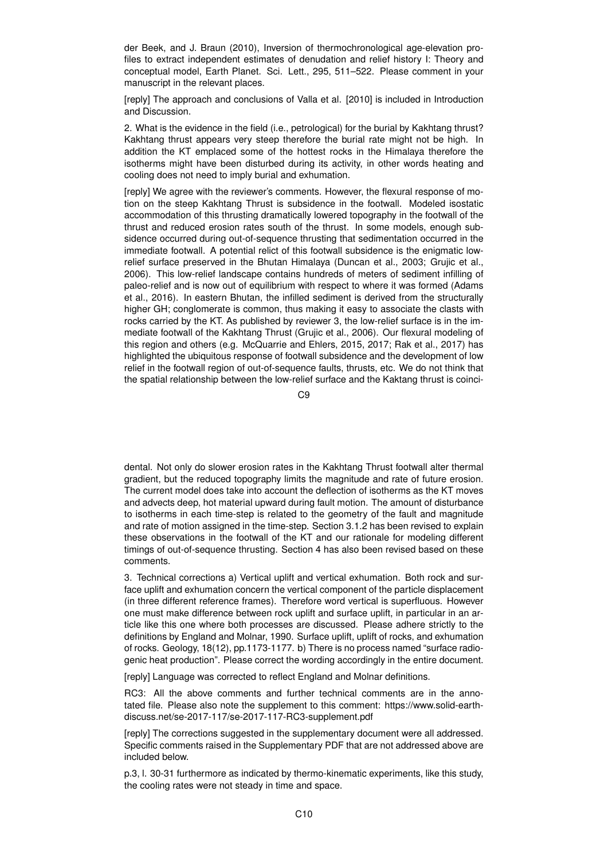der Beek, and J. Braun (2010), Inversion of thermochronological age-elevation profiles to extract independent estimates of denudation and relief history I: Theory and conceptual model, Earth Planet. Sci. Lett., 295, 511–522. Please comment in your manuscript in the relevant places.

[reply] The approach and conclusions of Valla et al. [2010] is included in Introduction and Discussion.

2. What is the evidence in the field (i.e., petrological) for the burial by Kakhtang thrust? Kakhtang thrust appears very steep therefore the burial rate might not be high. In addition the KT emplaced some of the hottest rocks in the Himalaya therefore the isotherms might have been disturbed during its activity, in other words heating and cooling does not need to imply burial and exhumation.

[reply] We agree with the reviewer's comments. However, the flexural response of motion on the steep Kakhtang Thrust is subsidence in the footwall. Modeled isostatic accommodation of this thrusting dramatically lowered topography in the footwall of the thrust and reduced erosion rates south of the thrust. In some models, enough subsidence occurred during out-of-sequence thrusting that sedimentation occurred in the immediate footwall. A potential relict of this footwall subsidence is the enigmatic lowrelief surface preserved in the Bhutan Himalaya (Duncan et al., 2003; Grujic et al., 2006). This low-relief landscape contains hundreds of meters of sediment infilling of paleo-relief and is now out of equilibrium with respect to where it was formed (Adams et al., 2016). In eastern Bhutan, the infilled sediment is derived from the structurally higher GH; conglomerate is common, thus making it easy to associate the clasts with rocks carried by the KT. As published by reviewer 3, the low-relief surface is in the immediate footwall of the Kakhtang Thrust (Grujic et al., 2006). Our flexural modeling of this region and others (e.g. McQuarrie and Ehlers, 2015, 2017; Rak et al., 2017) has highlighted the ubiquitous response of footwall subsidence and the development of low relief in the footwall region of out-of-sequence faults, thrusts, etc. We do not think that the spatial relationship between the low-relief surface and the Kaktang thrust is coinci-

C9

dental. Not only do slower erosion rates in the Kakhtang Thrust footwall alter thermal gradient, but the reduced topography limits the magnitude and rate of future erosion. The current model does take into account the deflection of isotherms as the KT moves and advects deep, hot material upward during fault motion. The amount of disturbance to isotherms in each time-step is related to the geometry of the fault and magnitude and rate of motion assigned in the time-step. Section 3.1.2 has been revised to explain these observations in the footwall of the KT and our rationale for modeling different timings of out-of-sequence thrusting. Section 4 has also been revised based on these comments.

3. Technical corrections a) Vertical uplift and vertical exhumation. Both rock and surface uplift and exhumation concern the vertical component of the particle displacement (in three different reference frames). Therefore word vertical is superfluous. However one must make difference between rock uplift and surface uplift, in particular in an article like this one where both processes are discussed. Please adhere strictly to the definitions by England and Molnar, 1990. Surface uplift, uplift of rocks, and exhumation of rocks. Geology, 18(12), pp.1173-1177. b) There is no process named "surface radiogenic heat production". Please correct the wording accordingly in the entire document.

[reply] Language was corrected to reflect England and Molnar definitions.

RC3: All the above comments and further technical comments are in the annotated file. Please also note the supplement to this comment: https://www.solid-earthdiscuss.net/se-2017-117/se-2017-117-RC3-supplement.pdf

[reply] The corrections suggested in the supplementary document were all addressed. Specific comments raised in the Supplementary PDF that are not addressed above are included below.

p.3, l. 30-31 furthermore as indicated by thermo-kinematic experiments, like this study, the cooling rates were not steady in time and space.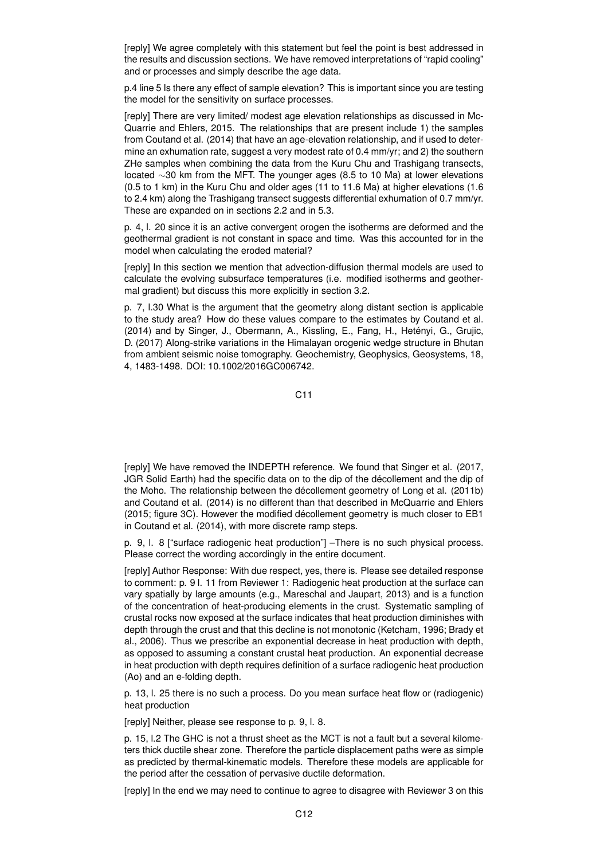[reply] We agree completely with this statement but feel the point is best addressed in the results and discussion sections. We have removed interpretations of "rapid cooling" and or processes and simply describe the age data.

p.4 line 5 Is there any effect of sample elevation? This is important since you are testing the model for the sensitivity on surface processes.

[reply] There are very limited/ modest age elevation relationships as discussed in Mc-Quarrie and Ehlers, 2015. The relationships that are present include 1) the samples from Coutand et al. (2014) that have an age-elevation relationship, and if used to determine an exhumation rate, suggest a very modest rate of 0.4 mm/yr; and 2) the southern ZHe samples when combining the data from the Kuru Chu and Trashigang transects, located ∼30 km from the MFT. The younger ages (8.5 to 10 Ma) at lower elevations (0.5 to 1 km) in the Kuru Chu and older ages (11 to 11.6 Ma) at higher elevations (1.6 to 2.4 km) along the Trashigang transect suggests differential exhumation of 0.7 mm/yr. These are expanded on in sections 2.2 and in 5.3.

p. 4, l. 20 since it is an active convergent orogen the isotherms are deformed and the geothermal gradient is not constant in space and time. Was this accounted for in the model when calculating the eroded material?

[reply] In this section we mention that advection-diffusion thermal models are used to calculate the evolving subsurface temperatures (i.e. modified isotherms and geothermal gradient) but discuss this more explicitly in section 3.2.

p. 7, l.30 What is the argument that the geometry along distant section is applicable to the study area? How do these values compare to the estimates by Coutand et al. (2014) and by Singer, J., Obermann, A., Kissling, E., Fang, H., Hetényi, G., Grujic, D. (2017) Along-strike variations in the Himalayan orogenic wedge structure in Bhutan from ambient seismic noise tomography. Geochemistry, Geophysics, Geosystems, 18, 4, 1483-1498. DOI: 10.1002/2016GC006742.

C11

[reply] We have removed the INDEPTH reference. We found that Singer et al. (2017, JGR Solid Earth) had the specific data on to the dip of the décollement and the dip of the Moho. The relationship between the décollement geometry of Long et al. (2011b) and Coutand et al. (2014) is no different than that described in McQuarrie and Ehlers (2015; figure 3C). However the modified décollement geometry is much closer to EB1 in Coutand et al. (2014), with more discrete ramp steps.

p. 9, l. 8 ["surface radiogenic heat production"] –There is no such physical process. Please correct the wording accordingly in the entire document.

[reply] Author Response: With due respect, yes, there is. Please see detailed response to comment: p. 9 l. 11 from Reviewer 1: Radiogenic heat production at the surface can vary spatially by large amounts (e.g., Mareschal and Jaupart, 2013) and is a function of the concentration of heat-producing elements in the crust. Systematic sampling of crustal rocks now exposed at the surface indicates that heat production diminishes with depth through the crust and that this decline is not monotonic (Ketcham, 1996; Brady et al., 2006). Thus we prescribe an exponential decrease in heat production with depth, as opposed to assuming a constant crustal heat production. An exponential decrease in heat production with depth requires definition of a surface radiogenic heat production (Ao) and an e-folding depth.

p. 13, l. 25 there is no such a process. Do you mean surface heat flow or (radiogenic) heat production

[reply] Neither, please see response to p. 9, l. 8.

p. 15, l.2 The GHC is not a thrust sheet as the MCT is not a fault but a several kilometers thick ductile shear zone. Therefore the particle displacement paths were as simple as predicted by thermal-kinematic models. Therefore these models are applicable for the period after the cessation of pervasive ductile deformation.

[reply] In the end we may need to continue to agree to disagree with Reviewer 3 on this